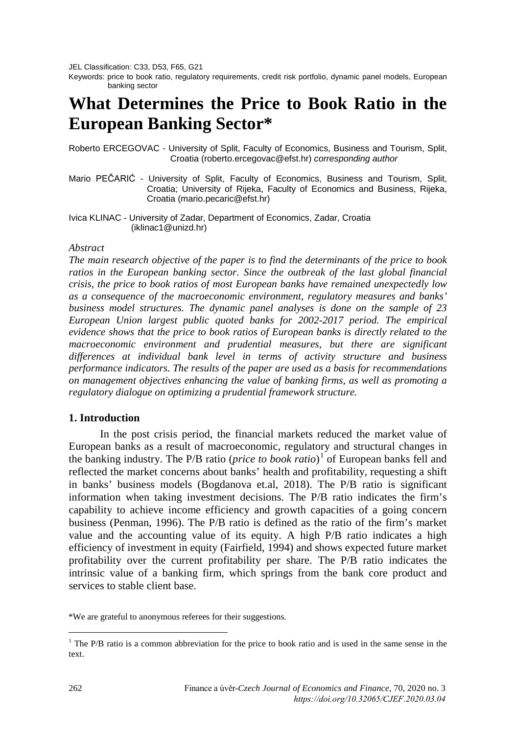JEL Classification: C33, D53, F65, G21

Keywords: price to book ratio, regulatory requirements, credit risk portfolio, dynamic panel models, European banking sector

# **What Determines the Price to Book Ratio in the European Banking Sector\***

Roberto ERCEGOVAC - University of Split, Faculty of Economics, Business and Tourism, Split, Croatia (roberto.ercegovac@efst.hr) *corresponding author*

- Mario PEČARIĆ University of Split, Faculty of Economics, Business and Tourism, Split, Croatia; University of Rijeka, Faculty of Economics and Business, Rijeka, Croatia (mario.pecaric@efst.hr)
- Ivica KLINAC University of Zadar, Department of Economics, Zadar, Croatia (iklinac1@unizd.hr)

#### *Abstract*

*The main research objective of the paper is to find the determinants of the price to book ratios in the European banking sector. Since the outbreak of the last global financial crisis, the price to book ratios of most European banks have remained unexpectedly low as a consequence of the macroeconomic environment, regulatory measures and banks' business model structures. The dynamic panel analyses is done on the sample of 23 European Union largest public quoted banks for 2002-2017 period. The empirical evidence shows that the price to book ratios of European banks is directly related to the macroeconomic environment and prudential measures, but there are significant differences at individual bank level in terms of activity structure and business performance indicators. The results of the paper are used as a basis for recommendations on management objectives enhancing the value of banking firms, as well as promoting a regulatory dialogue on optimizing a prudential framework structure.*

#### **1. Introduction**

In the post crisis period, the financial markets reduced the market value of European banks as a result of macroeconomic, regulatory and structural changes in the banking industry. The P/B ratio (*price to book ratio*) [1](#page-0-0) of European banks fell and reflected the market concerns about banks' health and profitability, requesting a shift in banks' business models (Bogdanova et.al, 2018). The P/B ratio is significant information when taking investment decisions. The P/B ratio indicates the firm's capability to achieve income efficiency and growth capacities of a going concern business (Penman, 1996). The P/B ratio is defined as the ratio of the firm's market value and the accounting value of its equity. A high P/B ratio indicates a high efficiency of investment in equity (Fairfield, 1994) and shows expected future market profitability over the current profitability per share. The P/B ratio indicates the intrinsic value of a banking firm, which springs from the bank core product and services to stable client base.

\*We are grateful to anonymous referees for their suggestions.

<span id="page-0-0"></span><sup>&</sup>lt;sup>1</sup> The P/B ratio is a common abbreviation for the price to book ratio and is used in the same sense in the text.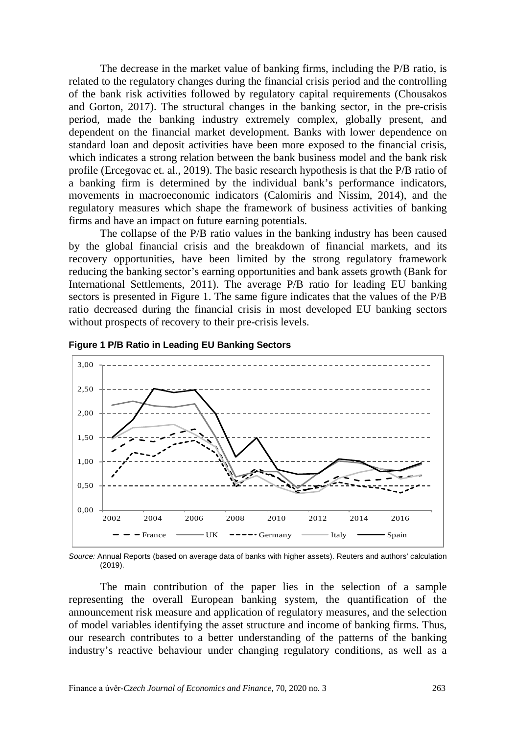The decrease in the market value of banking firms, including the P/B ratio, is related to the regulatory changes during the financial crisis period and the controlling of the bank risk activities followed by regulatory capital requirements (Chousakos and Gorton, 2017). The structural changes in the banking sector, in the pre-crisis period, made the banking industry extremely complex, globally present, and dependent on the financial market development. Banks with lower dependence on standard loan and deposit activities have been more exposed to the financial crisis, which indicates a strong relation between the bank business model and the bank risk profile (Ercegovac et. al., 2019). The basic research hypothesis is that the P/B ratio of a banking firm is determined by the individual bank's performance indicators, movements in macroeconomic indicators (Calomiris and Nissim, 2014), and the regulatory measures which shape the framework of business activities of banking firms and have an impact on future earning potentials.

The collapse of the P/B ratio values in the banking industry has been caused by the global financial crisis and the breakdown of financial markets, and its recovery opportunities, have been limited by the strong regulatory framework reducing the banking sector's earning opportunities and bank assets growth (Bank for International Settlements, 2011). The average P/B ratio for leading EU banking sectors is presented in Figure 1. The same figure indicates that the values of the P/B ratio decreased during the financial crisis in most developed EU banking sectors without prospects of recovery to their pre-crisis levels.





*Source:* Annual Reports (based on average data of banks with higher assets). Reuters and authors' calculation (2019).

The main contribution of the paper lies in the selection of a sample representing the overall European banking system, the quantification of the announcement risk measure and application of regulatory measures, and the selection of model variables identifying the asset structure and income of banking firms. Thus, our research contributes to a better understanding of the patterns of the banking industry's reactive behaviour under changing regulatory conditions, as well as a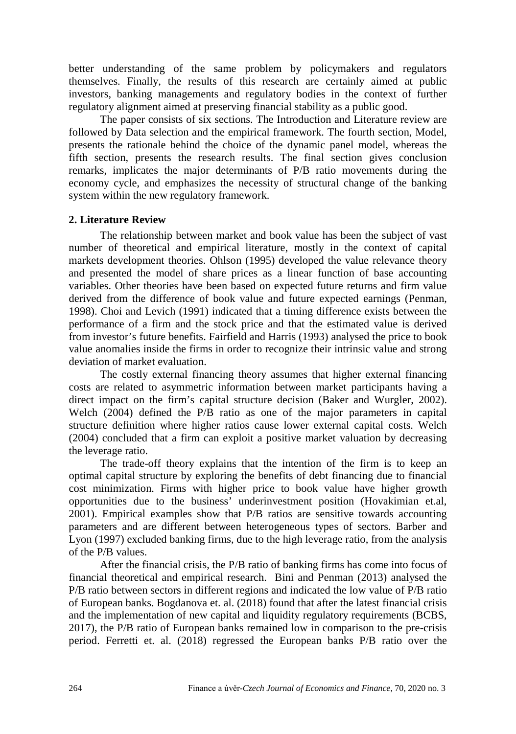better understanding of the same problem by policymakers and regulators themselves. Finally, the results of this research are certainly aimed at public investors, banking managements and regulatory bodies in the context of further regulatory alignment aimed at preserving financial stability as a public good.

The paper consists of six sections. The Introduction and Literature review are followed by Data selection and the empirical framework. The fourth section, Model, presents the rationale behind the choice of the dynamic panel model, whereas the fifth section, presents the research results. The final section gives conclusion remarks, implicates the major determinants of P/B ratio movements during the economy cycle, and emphasizes the necessity of structural change of the banking system within the new regulatory framework.

#### **2. Literature Review**

The relationship between market and book value has been the subject of vast number of theoretical and empirical literature, mostly in the context of capital markets development theories. Ohlson (1995) developed the value relevance theory and presented the model of share prices as a linear function of base accounting variables. Other theories have been based on expected future returns and firm value derived from the difference of book value and future expected earnings (Penman, 1998). Choi and Levich (1991) indicated that a timing difference exists between the performance of a firm and the stock price and that the estimated value is derived from investor's future benefits. Fairfield and Harris (1993) analysed the price to book value anomalies inside the firms in order to recognize their intrinsic value and strong deviation of market evaluation.

The costly external financing theory assumes that higher external financing costs are related to asymmetric information between market participants having a direct impact on the firm's capital structure decision (Baker and Wurgler, 2002). Welch (2004) defined the P/B ratio as one of the major parameters in capital structure definition where higher ratios cause lower external capital costs. Welch (2004) concluded that a firm can exploit a positive market valuation by decreasing the leverage ratio.

The trade-off theory explains that the intention of the firm is to keep an optimal capital structure by exploring the benefits of debt financing due to financial cost minimization. Firms with higher price to book value have higher growth opportunities due to the business' underinvestment position (Hovakimian et.al, 2001). Empirical examples show that P/B ratios are sensitive towards accounting parameters and are different between heterogeneous types of sectors. Barber and Lyon (1997) excluded banking firms, due to the high leverage ratio, from the analysis of the P/B values.

After the financial crisis, the P/B ratio of banking firms has come into focus of financial theoretical and empirical research. Bini and Penman (2013) analysed the P/B ratio between sectors in different regions and indicated the low value of P/B ratio of European banks. Bogdanova et. al. (2018) found that after the latest financial crisis and the implementation of new capital and liquidity regulatory requirements (BCBS, 2017), the P/B ratio of European banks remained low in comparison to the pre-crisis period. Ferretti et. al. (2018) regressed the European banks P/B ratio over the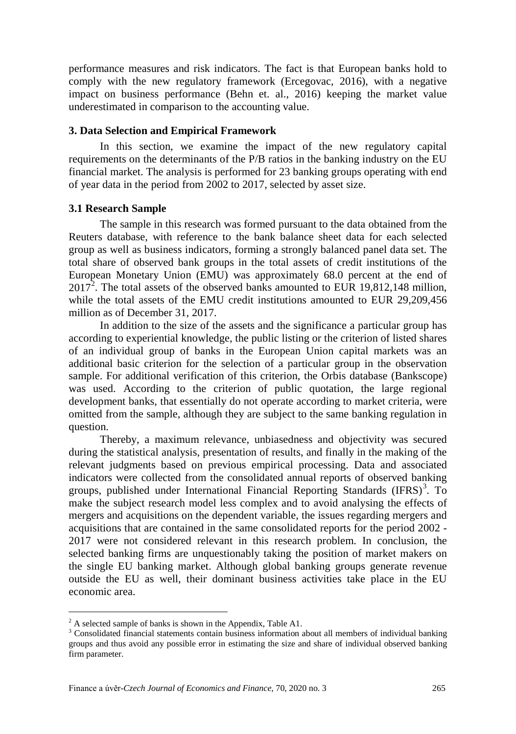performance measures and risk indicators. The fact is that European banks hold to comply with the new regulatory framework (Ercegovac, 2016), with a negative impact on business performance (Behn et. al., 2016) keeping the market value underestimated in comparison to the accounting value.

#### **3. Data Selection and Empirical Framework**

In this section, we examine the impact of the new regulatory capital requirements on the determinants of the P/B ratios in the banking industry on the EU financial market. The analysis is performed for 23 banking groups operating with end of year data in the period from 2002 to 2017, selected by asset size.

#### **3.1 Research Sample**

The sample in this research was formed pursuant to the data obtained from the Reuters database, with reference to the bank balance sheet data for each selected group as well as business indicators, forming a strongly balanced panel data set. The total share of observed bank groups in the total assets of credit institutions of the European Monetary Union (EMU) was approximately 68.0 percent at the end of  $2017<sup>2</sup>$  $2017<sup>2</sup>$ . The total assets of the observed banks amounted to EUR 19,812,148 million, while the total assets of the EMU credit institutions amounted to EUR 29,209,456 million as of December 31, 2017.

In addition to the size of the assets and the significance a particular group has according to experiential knowledge, the public listing or the criterion of listed shares of an individual group of banks in the European Union capital markets was an additional basic criterion for the selection of a particular group in the observation sample. For additional verification of this criterion, the Orbis database (Bankscope) was used. According to the criterion of public quotation, the large regional development banks, that essentially do not operate according to market criteria, were omitted from the sample, although they are subject to the same banking regulation in question.

Thereby, a maximum relevance, unbiasedness and objectivity was secured during the statistical analysis, presentation of results, and finally in the making of the relevant judgments based on previous empirical processing. Data and associated indicators were collected from the consolidated annual reports of observed banking groups, published under International Financial Reporting Standards (IFRS)<sup>[3](#page-3-1)</sup>. To make the subject research model less complex and to avoid analysing the effects of mergers and acquisitions on the dependent variable, the issues regarding mergers and acquisitions that are contained in the same consolidated reports for the period 2002 - 2017 were not considered relevant in this research problem. In conclusion, the selected banking firms are unquestionably taking the position of market makers on the single EU banking market. Although global banking groups generate revenue outside the EU as well, their dominant business activities take place in the EU economic area.

<span id="page-3-1"></span><span id="page-3-0"></span> $2^2$  A selected sample of banks is shown in the Appendix, Table A1.<br> $3$  Consolidated financial statements contain business information about all members of individual banking groups and thus avoid any possible error in estimating the size and share of individual observed banking firm parameter.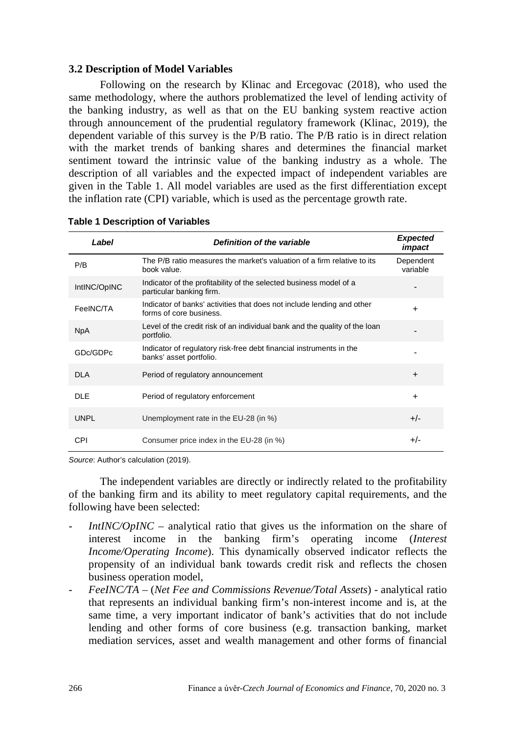## **3.2 Description of Model Variables**

Following on the research by Klinac and Ercegovac (2018), who used the same methodology, where the authors problematized the level of lending activity of the banking industry, as well as that on the EU banking system reactive action through announcement of the prudential regulatory framework (Klinac, 2019), the dependent variable of this survey is the P/B ratio. The P/B ratio is in direct relation with the market trends of banking shares and determines the financial market sentiment toward the intrinsic value of the banking industry as a whole. The description of all variables and the expected impact of independent variables are given in the Table 1. All model variables are used as the first differentiation except the inflation rate (CPI) variable, which is used as the percentage growth rate.

| Label        | Definition of the variable                                                                        | <b>Expected</b><br>impact |
|--------------|---------------------------------------------------------------------------------------------------|---------------------------|
| P/B          | The P/B ratio measures the market's valuation of a firm relative to its<br>book value.            | Dependent<br>variable     |
| IntINC/OpINC | Indicator of the profitability of the selected business model of a<br>particular banking firm.    |                           |
| FeeINC/TA    | Indicator of banks' activities that does not include lending and other<br>forms of core business. | $+$                       |
| <b>NpA</b>   | Level of the credit risk of an individual bank and the quality of the loan<br>portfolio.          |                           |
| GDc/GDPc     | Indicator of regulatory risk-free debt financial instruments in the<br>banks' asset portfolio.    |                           |
| <b>DLA</b>   | Period of regulatory announcement                                                                 | $+$                       |
| <b>DLE</b>   | Period of regulatory enforcement                                                                  | $+$                       |
| <b>UNPL</b>  | Unemployment rate in the EU-28 (in %)                                                             | $+/-$                     |
| CPI          | Consumer price index in the EU-28 (in %)                                                          | $+/-$                     |

## **Table 1 Description of Variables**

*Source*: Author's calculation (2019).

The independent variables are directly or indirectly related to the profitability of the banking firm and its ability to meet regulatory capital requirements, and the following have been selected:

- *IntINC/OpINC* analytical ratio that gives us the information on the share of interest income in the banking firm's operating income (*Interest Income/Operating Income*). This dynamically observed indicator reflects the propensity of an individual bank towards credit risk and reflects the chosen business operation model,
- *FeeINC/TA* (*Net Fee and Commissions Revenue/Total Assets*) analytical ratio that represents an individual banking firm's non-interest income and is, at the same time, a very important indicator of bank's activities that do not include lending and other forms of core business (e.g. transaction banking, market mediation services, asset and wealth management and other forms of financial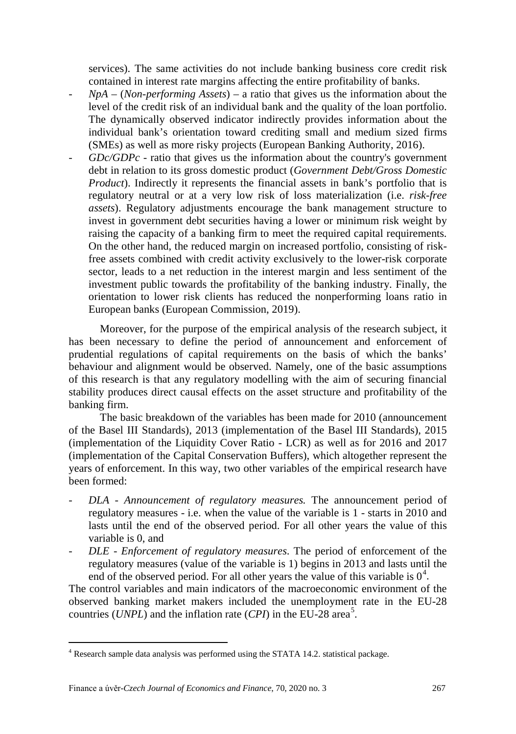services). The same activities do not include banking business core credit risk contained in interest rate margins affecting the entire profitability of banks.

- *NpA* (*Non-performing Assets*) a ratio that gives us the information about the level of the credit risk of an individual bank and the quality of the loan portfolio. The dynamically observed indicator indirectly provides information about the individual bank's orientation toward crediting small and medium sized firms (SMEs) as well as more risky projects (European Banking Authority, 2016).
- *GDc/GDPc -* ratio that gives us the information about the country's government debt in relation to its gross domestic product (*Government Debt/Gross Domestic Product*). Indirectly it represents the financial assets in bank's portfolio that is regulatory neutral or at a very low risk of loss materialization (i.e. *risk-free assets*). Regulatory adjustments encourage the bank management structure to invest in government debt securities having a lower or minimum risk weight by raising the capacity of a banking firm to meet the required capital requirements. On the other hand, the reduced margin on increased portfolio, consisting of riskfree assets combined with credit activity exclusively to the lower-risk corporate sector, leads to a net reduction in the interest margin and less sentiment of the investment public towards the profitability of the banking industry. Finally, the orientation to lower risk clients has reduced the nonperforming loans ratio in European banks (European Commission, 2019).

Moreover, for the purpose of the empirical analysis of the research subject, it has been necessary to define the period of announcement and enforcement of prudential regulations of capital requirements on the basis of which the banks' behaviour and alignment would be observed. Namely, one of the basic assumptions of this research is that any regulatory modelling with the aim of securing financial stability produces direct causal effects on the asset structure and profitability of the banking firm.

The basic breakdown of the variables has been made for 2010 (announcement of the Basel III Standards), 2013 (implementation of the Basel III Standards), 2015 (implementation of the Liquidity Cover Ratio - LCR) as well as for 2016 and 2017 (implementation of the Capital Conservation Buffers), which altogether represent the years of enforcement. In this way, two other variables of the empirical research have been formed:

- *DLA - Announcement of regulatory measures.* The announcement period of regulatory measures - i.e. when the value of the variable is 1 - starts in 2010 and lasts until the end of the observed period. For all other years the value of this variable is 0, and
- *DLE Enforcement of regulatory measures*. The period of enforcement of the regulatory measures (value of the variable is 1) begins in 2013 and lasts until the end of the observed period. For all other years the value of this variable is  $0<sup>4</sup>$  $0<sup>4</sup>$  $0<sup>4</sup>$ .

The control variables and main indicators of the macroeconomic environment of the observed banking market makers included the unemployment rate in the EU-28 countries (*UNPL*) and the inflation rate (*CPI*) in the EU-28 area<sup>[5](#page-5-1)</sup>.

<span id="page-5-1"></span><span id="page-5-0"></span> <sup>4</sup> Research sample data analysis was performed using the STATA 14.2. statistical package.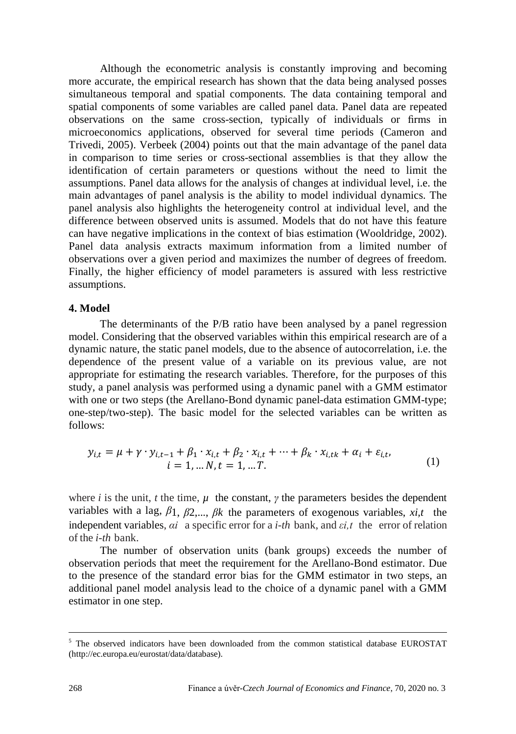Although the econometric analysis is constantly improving and becoming more accurate, the empirical research has shown that the data being analysed posses simultaneous temporal and spatial components. The data containing temporal and spatial components of some variables are called panel data. Panel data are repeated observations on the same cross-section, typically of individuals or firms in microeconomics applications, observed for several time periods (Cameron and Trivedi, 2005). Verbeek (2004) points out that the main advantage of the panel data in comparison to time series or cross-sectional assemblies is that they allow the identification of certain parameters or questions without the need to limit the assumptions. Panel data allows for the analysis of changes at individual level, i.e. the main advantages of panel analysis is the ability to model individual dynamics. The panel analysis also highlights the heterogeneity control at individual level, and the difference between observed units is assumed. Models that do not have this feature can have negative implications in the context of bias estimation (Wooldridge, 2002). Panel data analysis extracts maximum information from a limited number of observations over a given period and maximizes the number of degrees of freedom. Finally, the higher efficiency of model parameters is assured with less restrictive assumptions.

#### **4. Model**

The determinants of the P/B ratio have been analysed by a panel regression model. Considering that the observed variables within this empirical research are of a dynamic nature, the static panel models, due to the absence of autocorrelation, i.e. the dependence of the present value of a variable on its previous value, are not appropriate for estimating the research variables. Therefore, for the purposes of this study, a panel analysis was performed using a dynamic panel with a GMM estimator with one or two steps (the Arellano-Bond dynamic panel-data estimation GMM-type; one-step/two-step). The basic model for the selected variables can be written as follows:

$$
y_{i,t} = \mu + \gamma \cdot y_{i,t-1} + \beta_1 \cdot x_{i,t} + \beta_2 \cdot x_{i,t} + \dots + \beta_k \cdot x_{i,tk} + \alpha_i + \varepsilon_{i,t},
$$
  
\n
$$
i = 1, \dots N, t = 1, \dots T.
$$
\n(1)

where *i* is the unit, *t* the time,  $\mu$  the constant,  $\gamma$  the parameters besides the dependent variables with a lag,  $\beta_1$ ,  $\beta_2$ ,...,  $\beta_k$  the parameters of exogenous variables, *xi,t* the independent variables, *αi* a specific error for a *i-th* bank, and *εi,t* the error of relation of the *i-th* bank.

The number of observation units (bank groups) exceeds the number of observation periods that meet the requirement for the Arellano-Bond estimator. Due to the presence of the standard error bias for the GMM estimator in two steps, an additional panel model analysis lead to the choice of a dynamic panel with a GMM estimator in one step.

 $<sup>5</sup>$  The observed indicators have been downloaded from the common statistical database EUROSTAT</sup> (http://ec.europa.eu/eurostat/data/database).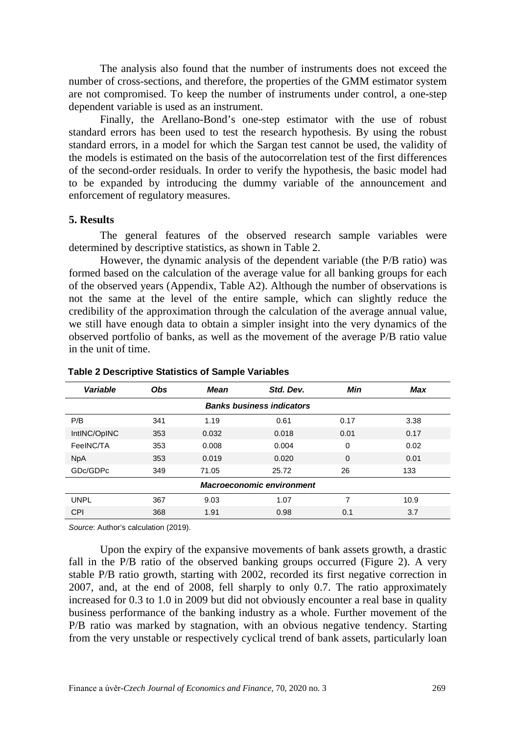The analysis also found that the number of instruments does not exceed the number of cross-sections, and therefore, the properties of the GMM estimator system are not compromised. To keep the number of instruments under control, a one-step dependent variable is used as an instrument.

Finally, the Arellano-Bond's one-step estimator with the use of robust standard errors has been used to test the research hypothesis. By using the robust standard errors, in a model for which the Sargan test cannot be used, the validity of the models is estimated on the basis of the autocorrelation test of the first differences of the second-order residuals. In order to verify the hypothesis, the basic model had to be expanded by introducing the dummy variable of the announcement and enforcement of regulatory measures.

#### **5. Results**

The general features of the observed research sample variables were determined by descriptive statistics, as shown in Table 2.

However, the dynamic analysis of the dependent variable (the P/B ratio) was formed based on the calculation of the average value for all banking groups for each of the observed years (Appendix, Table A2). Although the number of observations is not the same at the level of the entire sample, which can slightly reduce the credibility of the approximation through the calculation of the average annual value, we still have enough data to obtain a simpler insight into the very dynamics of the observed portfolio of banks, as well as the movement of the average P/B ratio value in the unit of time.

| Variable                         | <b>Obs</b> | <b>Mean</b> | Std. Dev. | Min         | Max  |  |  |  |
|----------------------------------|------------|-------------|-----------|-------------|------|--|--|--|
| <b>Banks business indicators</b> |            |             |           |             |      |  |  |  |
| P/B                              | 341        | 1.19        | 0.61      | 0.17        | 3.38 |  |  |  |
| IntINC/OpINC                     | 353        | 0.032       | 0.018     | 0.01        | 0.17 |  |  |  |
| FeeINC/TA                        | 353        | 0.008       | 0.004     | 0           | 0.02 |  |  |  |
| <b>NpA</b>                       | 353        | 0.019       | 0.020     | $\mathbf 0$ | 0.01 |  |  |  |
| GDc/GDPc                         | 349        | 71.05       | 25.72     | 26          | 133  |  |  |  |
| <b>Macroeconomic environment</b> |            |             |           |             |      |  |  |  |
| <b>UNPL</b>                      | 367        | 9.03        | 1.07      | 7           | 10.9 |  |  |  |
| CPI                              | 368        | 1.91        | 0.98      | 0.1         | 3.7  |  |  |  |

#### **Table 2 Descriptive Statistics of Sample Variables**

*Source*: Author's calculation (2019).

Upon the expiry of the expansive movements of bank assets growth, a drastic fall in the P/B ratio of the observed banking groups occurred (Figure 2). A very stable P/B ratio growth, starting with 2002, recorded its first negative correction in 2007, and, at the end of 2008, fell sharply to only 0.7. The ratio approximately increased for 0.3 to 1.0 in 2009 but did not obviously encounter a real base in quality business performance of the banking industry as a whole. Further movement of the P/B ratio was marked by stagnation, with an obvious negative tendency. Starting from the very unstable or respectively cyclical trend of bank assets, particularly loan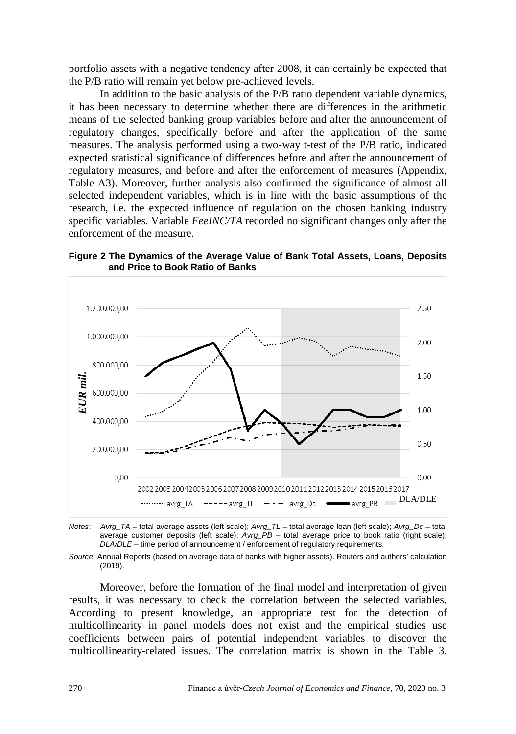portfolio assets with a negative tendency after 2008, it can certainly be expected that the P/B ratio will remain yet below pre-achieved levels.

In addition to the basic analysis of the P/B ratio dependent variable dynamics, it has been necessary to determine whether there are differences in the arithmetic means of the selected banking group variables before and after the announcement of regulatory changes, specifically before and after the application of the same measures. The analysis performed using a two-way t-test of the P/B ratio, indicated expected statistical significance of differences before and after the announcement of regulatory measures, and before and after the enforcement of measures (Appendix, Table A3). Moreover, further analysis also confirmed the significance of almost all selected independent variables, which is in line with the basic assumptions of the research, i.e. the expected influence of regulation on the chosen banking industry specific variables. Variable *FeeINC/TA* recorded no significant changes only after the enforcement of the measure.

**Figure 2 The Dynamics of the Average Value of Bank Total Assets, Loans, Deposits and Price to Book Ratio of Banks**



*Notes*: *Avrg\_TA* – total average assets (left scale); *Avrg\_TL* – total average loan (left scale); *Avrg\_Dc* – total average customer deposits (left scale); *Avrg\_PB* – total average price to book ratio (right scale); *DLA/DLE* – time period of announcement / enforcement of regulatory requirements.

*Source*: Annual Reports (based on average data of banks with higher assets). Reuters and authors' calculation (2019).

Moreover, before the formation of the final model and interpretation of given results, it was necessary to check the correlation between the selected variables. According to present knowledge, an appropriate test for the detection of multicollinearity in panel models does not exist and the empirical studies use coefficients between pairs of potential independent variables to discover the multicollinearity-related issues. The correlation matrix is shown in the Table 3.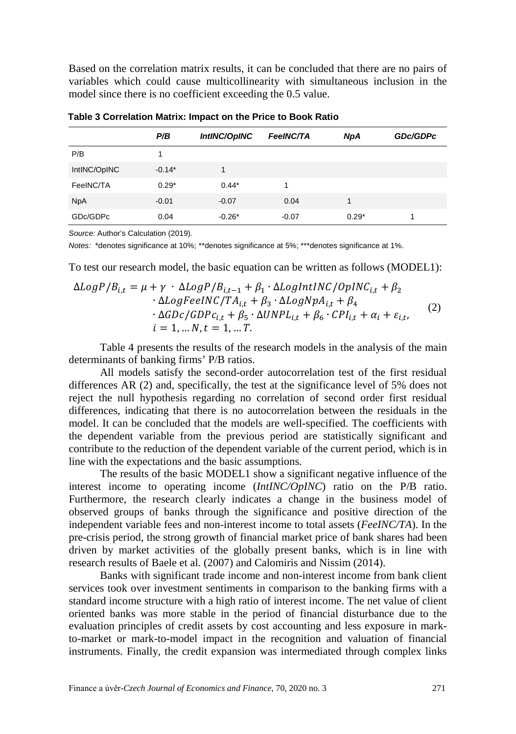Based on the correlation matrix results, it can be concluded that there are no pairs of variables which could cause multicollinearity with simultaneous inclusion in the model since there is no coefficient exceeding the 0.5 value.

|              | P/B      | IntINC/OpINC | <b>FeeINC/TA</b> | <b>NpA</b> | <b>GDc/GDPc</b> |
|--------------|----------|--------------|------------------|------------|-----------------|
|              |          |              |                  |            |                 |
| P/B          |          |              |                  |            |                 |
| IntINC/OpINC | $-0.14*$ | 1            |                  |            |                 |
| FeeINC/TA    | $0.29*$  | $0.44*$      | 1                |            |                 |
| <b>NpA</b>   | $-0.01$  | $-0.07$      | 0.04             | 1          |                 |
| GDc/GDPc     | 0.04     | $-0.26*$     | $-0.07$          | $0.29*$    | 1               |

**Table 3 Correlation Matrix: Impact on the Price to Book Ratio**

*Source:* Author's Calculation (2019).

*Notes:* \*denotes significance at 10%; \*\*denotes significance at 5%; \*\*\*denotes significance at 1%.

To test our research model, the basic equation can be written as follows (MODEL1):

$$
\Delta LogP/B_{i,t} = \mu + \gamma \cdot \Delta LogP/B_{i,t-1} + \beta_1 \cdot \Delta LogIntINC/OpINC_{i,t} + \beta_2
$$
  
\n
$$
\cdot \Delta LogFeelNC/TA_{i,t} + \beta_3 \cdot \Delta LogNpA_{i,t} + \beta_4
$$
  
\n
$$
\cdot \Delta GDC/GDPc_{i,t} + \beta_5 \cdot \Delta UNPL_{i,t} + \beta_6 \cdot CPI_{i,t} + \alpha_i + \varepsilon_{i,t},
$$
  
\n
$$
i = 1, \dots N, t = 1, \dots T.
$$
\n(2)

Table 4 presents the results of the research models in the analysis of the main determinants of banking firms' P/B ratios.

All models satisfy the second-order autocorrelation test of the first residual differences AR (2) and, specifically, the test at the significance level of 5% does not reject the null hypothesis regarding no correlation of second order first residual differences, indicating that there is no autocorrelation between the residuals in the model. It can be concluded that the models are well-specified. The coefficients with the dependent variable from the previous period are statistically significant and contribute to the reduction of the dependent variable of the current period, which is in line with the expectations and the basic assumptions.

The results of the basic MODEL1 show a significant negative influence of the interest income to operating income (*IntINC/OpINC*) ratio on the P/B ratio. Furthermore, the research clearly indicates a change in the business model of observed groups of banks through the significance and positive direction of the independent variable fees and non-interest income to total assets (*FeeINC/TA*). In the pre-crisis period, the strong growth of financial market price of bank shares had been driven by market activities of the globally present banks, which is in line with research results of Baele et al. (2007) and Calomiris and Nissim (2014).

Banks with significant trade income and non-interest income from bank client services took over investment sentiments in comparison to the banking firms with a standard income structure with a high ratio of interest income. The net value of client oriented banks was more stable in the period of financial disturbance due to the evaluation principles of credit assets by cost accounting and less exposure in markto-market or mark-to-model impact in the recognition and valuation of financial instruments. Finally, the credit expansion was intermediated through complex links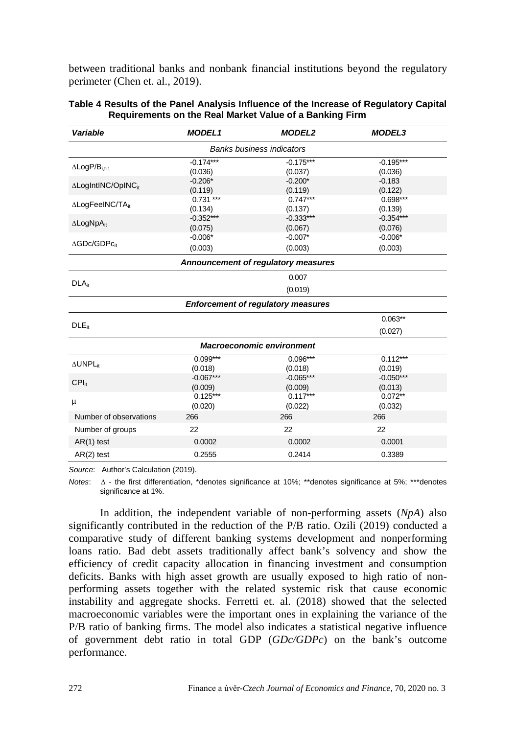between traditional banks and nonbank financial institutions beyond the regulatory perimeter (Chen et. al., 2019).

| Variable                               | <b>MODEL1</b>          | <b>MODEL2</b>                             | <b>MODEL3</b>          |  |  |  |  |  |
|----------------------------------------|------------------------|-------------------------------------------|------------------------|--|--|--|--|--|
| <b>Banks business indicators</b>       |                        |                                           |                        |  |  |  |  |  |
| $\Delta$ LogP/B <sub>i.t-1</sub>       | $-0.174***$<br>(0.036) | $-0.175***$<br>(0.037)                    | $-0.195***$<br>(0.036) |  |  |  |  |  |
| $\Delta$ LogIntINC/OpINC <sub>it</sub> | $-0.206*$<br>(0.119)   | $-0.200*$<br>(0.119)                      | $-0.183$<br>(0.122)    |  |  |  |  |  |
| ∆LogFeelNC/TAit                        | $0.731***$<br>(0.134)  | $0.747***$<br>(0.137)                     | $0.698***$<br>(0.139)  |  |  |  |  |  |
| $\Delta$ LogNpA <sub>it</sub>          | $-0.352***$<br>(0.075) | $-0.333***$<br>(0.067)                    | $-0.354***$<br>(0.076) |  |  |  |  |  |
| $\Delta$ GDc/GDPc <sub>it</sub>        | $-0.006*$<br>(0.003)   | $-0.007*$<br>(0.003)                      | $-0.006*$<br>(0.003)   |  |  |  |  |  |
|                                        |                        | Announcement of regulatory measures       |                        |  |  |  |  |  |
| DLA <sub>it</sub>                      |                        | 0.007                                     |                        |  |  |  |  |  |
| (0.019)                                |                        |                                           |                        |  |  |  |  |  |
|                                        |                        | <b>Enforcement of regulatory measures</b> |                        |  |  |  |  |  |
| $DLE_{it}$                             |                        |                                           | $0.063**$              |  |  |  |  |  |
|                                        |                        |                                           | (0.027)                |  |  |  |  |  |
|                                        |                        | <b>Macroeconomic environment</b>          |                        |  |  |  |  |  |
| AUNPL <sub>it</sub>                    | $0.099***$<br>(0.018)  | $0.096***$<br>(0.018)                     | $0.112***$<br>(0.019)  |  |  |  |  |  |
| $CPI_{it}$                             | $-0.067***$<br>(0.009) | $-0.065***$<br>(0.009)                    | $-0.050***$<br>(0.013) |  |  |  |  |  |
| μ                                      | $0.125***$<br>(0.020)  | $0.117***$<br>(0.022)                     | $0.072**$<br>(0.032)   |  |  |  |  |  |
| Number of observations                 | 266                    | 266                                       | 266                    |  |  |  |  |  |
| Number of groups                       | 22                     | 22                                        | 22                     |  |  |  |  |  |
| $AR(1)$ test<br>0.0002                 |                        | 0.0002                                    | 0.0001                 |  |  |  |  |  |
| $AR(2)$ test                           | 0.2555                 | 0.2414                                    | 0.3389                 |  |  |  |  |  |

| Table 4 Results of the Panel Analysis Influence of the Increase of Regulatory Capital |
|---------------------------------------------------------------------------------------|
| Requirements on the Real Market Value of a Banking Firm                               |

*Source*: Author's Calculation (2019).

*Notes*: ∆ - the first differentiation, \*denotes significance at 10%; \*\*denotes significance at 5%; \*\*\*denotes significance at 1%.

In addition, the independent variable of non-performing assets (*NpA*) also significantly contributed in the reduction of the P/B ratio. Ozili (2019) conducted a comparative study of different banking systems development and nonperforming loans ratio. Bad debt assets traditionally affect bank's solvency and show the efficiency of credit capacity allocation in financing investment and consumption deficits. Banks with high asset growth are usually exposed to high ratio of nonperforming assets together with the related systemic risk that cause economic instability and aggregate shocks. Ferretti et. al. (2018) showed that the selected macroeconomic variables were the important ones in explaining the variance of the P/B ratio of banking firms. The model also indicates a statistical negative influence of government debt ratio in total GDP (*GDc/GDPc*) on the bank's outcome performance.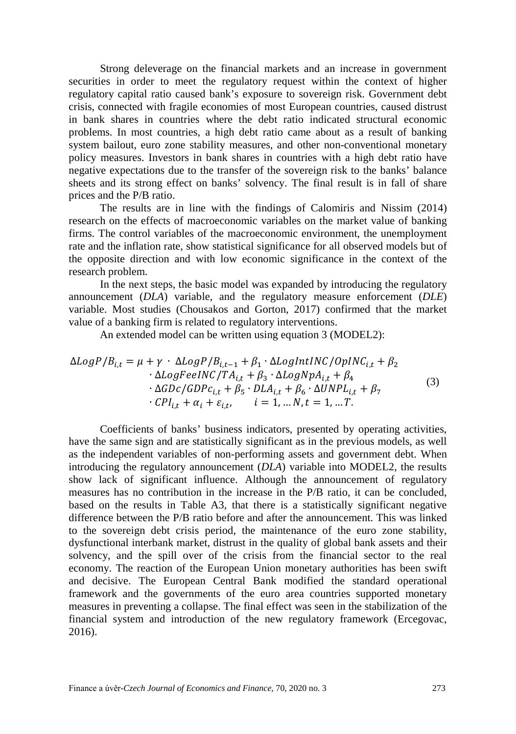Strong deleverage on the financial markets and an increase in government securities in order to meet the regulatory request within the context of higher regulatory capital ratio caused bank's exposure to sovereign risk. Government debt crisis, connected with fragile economies of most European countries, caused distrust in bank shares in countries where the debt ratio indicated structural economic problems. In most countries, a high debt ratio came about as a result of banking system bailout, euro zone stability measures, and other non-conventional monetary policy measures. Investors in bank shares in countries with a high debt ratio have negative expectations due to the transfer of the sovereign risk to the banks' balance sheets and its strong effect on banks' solvency. The final result is in fall of share prices and the P/B ratio.

The results are in line with the findings of Calomiris and Nissim (2014) research on the effects of macroeconomic variables on the market value of banking firms. The control variables of the macroeconomic environment, the unemployment rate and the inflation rate, show statistical significance for all observed models but of the opposite direction and with low economic significance in the context of the research problem.

In the next steps, the basic model was expanded by introducing the regulatory announcement (*DLA*) variable, and the regulatory measure enforcement (*DLE*) variable. Most studies (Chousakos and Gorton, 2017) confirmed that the market value of a banking firm is related to regulatory interventions.

An extended model can be written using equation 3 (MODEL2):

$$
\Delta LogP/B_{i,t} = \mu + \gamma \cdot \Delta LogP/B_{i,t-1} + \beta_1 \cdot \Delta LogIntINC/OpINC_{i,t} + \beta_2
$$
  
\n
$$
\cdot \Delta LogFeelNC/TA_{i,t} + \beta_3 \cdot \Delta LogNpA_{i,t} + \beta_4
$$
  
\n
$$
\cdot \Delta GDC/GDPc_{i,t} + \beta_5 \cdot DLA_{i,t} + \beta_6 \cdot \Delta UNPL_{i,t} + \beta_7
$$
  
\n
$$
\cdot CPI_{i,t} + \alpha_i + \varepsilon_{i,t}, \qquad i = 1, ..., N, t = 1, ...T.
$$
\n(3)

Coefficients of banks' business indicators, presented by operating activities, have the same sign and are statistically significant as in the previous models, as well as the independent variables of non-performing assets and government debt. When introducing the regulatory announcement (*DLA*) variable into MODEL2, the results show lack of significant influence. Although the announcement of regulatory measures has no contribution in the increase in the P/B ratio, it can be concluded, based on the results in Table A3, that there is a statistically significant negative difference between the P/B ratio before and after the announcement. This was linked to the sovereign debt crisis period, the maintenance of the euro zone stability, dysfunctional interbank market, distrust in the quality of global bank assets and their solvency, and the spill over of the crisis from the financial sector to the real economy. The reaction of the European Union monetary authorities has been swift and decisive. The European Central Bank modified the standard operational framework and the governments of the euro area countries supported monetary measures in preventing a collapse. The final effect was seen in the stabilization of the financial system and introduction of the new regulatory framework (Ercegovac, 2016).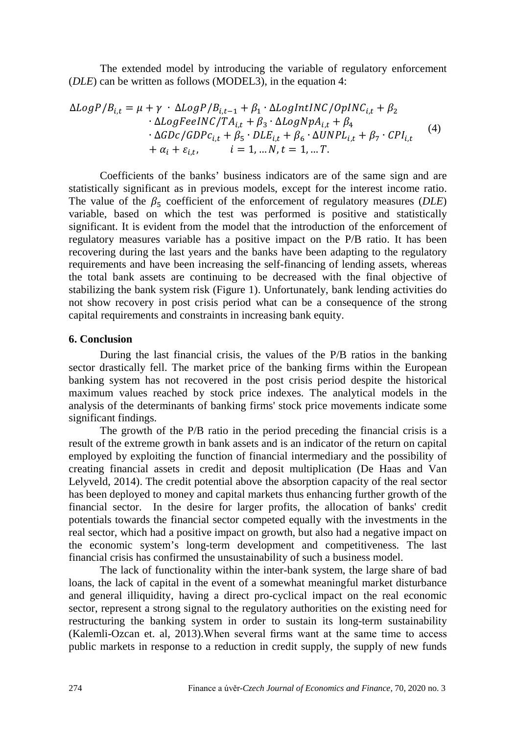The extended model by introducing the variable of regulatory enforcement (*DLE*) can be written as follows (MODEL3), in the equation 4:

$$
\Delta LogP/B_{i,t} = \mu + \gamma \cdot \Delta LogP/B_{i,t-1} + \beta_1 \cdot \Delta LogIntINC/OpINC_{i,t} + \beta_2
$$
  
\n
$$
\cdot \Delta LogFeC/TA_{i,t} + \beta_3 \cdot \Delta LogNpA_{i,t} + \beta_4
$$
  
\n
$$
\cdot \Delta GDC/GDPc_{i,t} + \beta_5 \cdot DLE_{i,t} + \beta_6 \cdot \Delta UNPL_{i,t} + \beta_7 \cdot CPI_{i,t}
$$
  
\n
$$
+ \alpha_i + \varepsilon_{i,t}, \qquad i = 1, \dots N, t = 1, \dots T.
$$
\n(4)

Coefficients of the banks' business indicators are of the same sign and are statistically significant as in previous models, except for the interest income ratio. The value of the  $\beta_5$  coefficient of the enforcement of regulatory measures (*DLE*) variable, based on which the test was performed is positive and statistically significant. It is evident from the model that the introduction of the enforcement of regulatory measures variable has a positive impact on the P/B ratio. It has been recovering during the last years and the banks have been adapting to the regulatory requirements and have been increasing the self-financing of lending assets, whereas the total bank assets are continuing to be decreased with the final objective of stabilizing the bank system risk (Figure 1). Unfortunately, bank lending activities do not show recovery in post crisis period what can be a consequence of the strong capital requirements and constraints in increasing bank equity.

#### **6. Conclusion**

During the last financial crisis, the values of the P/B ratios in the banking sector drastically fell. The market price of the banking firms within the European banking system has not recovered in the post crisis period despite the historical maximum values reached by stock price indexes. The analytical models in the analysis of the determinants of banking firms' stock price movements indicate some significant findings.

The growth of the P/B ratio in the period preceding the financial crisis is a result of the extreme growth in bank assets and is an indicator of the return on capital employed by exploiting the function of financial intermediary and the possibility of creating financial assets in credit and deposit multiplication (De Haas and Van Lelyveld, 2014). The credit potential above the absorption capacity of the real sector has been deployed to money and capital markets thus enhancing further growth of the financial sector. In the desire for larger profits, the allocation of banks' credit potentials towards the financial sector competed equally with the investments in the real sector, which had a positive impact on growth, but also had a negative impact on the economic system's long-term development and competitiveness. The last financial crisis has confirmed the unsustainability of such a business model.

The lack of functionality within the inter-bank system, the large share of bad loans, the lack of capital in the event of a somewhat meaningful market disturbance and general illiquidity, having a direct pro-cyclical impact on the real economic sector, represent a strong signal to the regulatory authorities on the existing need for restructuring the banking system in order to sustain its long-term sustainability (Kalemli-Ozcan et. al, 2013).When several firms want at the same time to access public markets in response to a reduction in credit supply, the supply of new funds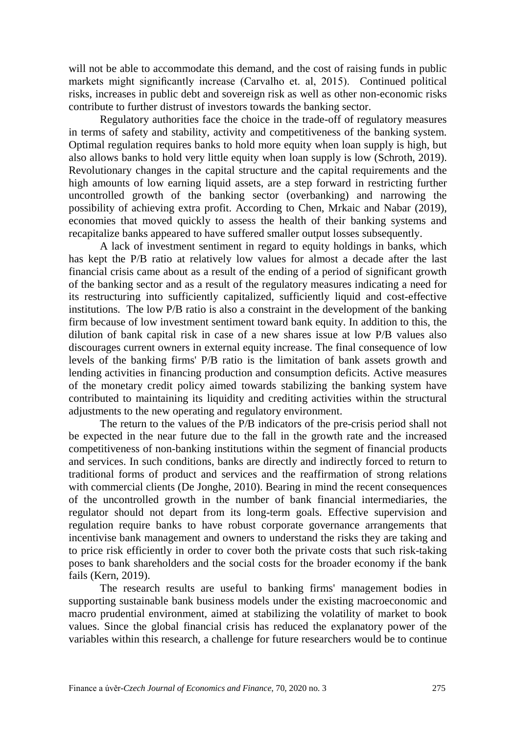will not be able to accommodate this demand, and the cost of raising funds in public markets might significantly increase (Carvalho et. al, 2015). Continued political risks, increases in public debt and sovereign risk as well as other non-economic risks contribute to further distrust of investors towards the banking sector.

Regulatory authorities face the choice in the trade-off of regulatory measures in terms of safety and stability, activity and competitiveness of the banking system. Optimal regulation requires banks to hold more equity when loan supply is high, but also allows banks to hold very little equity when loan supply is low (Schroth, 2019). Revolutionary changes in the capital structure and the capital requirements and the high amounts of low earning liquid assets, are a step forward in restricting further uncontrolled growth of the banking sector (overbanking) and narrowing the possibility of achieving extra profit. According to Chen, Mrkaic and Nabar (2019), economies that moved quickly to assess the health of their banking systems and recapitalize banks appeared to have suffered smaller output losses subsequently.

A lack of investment sentiment in regard to equity holdings in banks, which has kept the P/B ratio at relatively low values for almost a decade after the last financial crisis came about as a result of the ending of a period of significant growth of the banking sector and as a result of the regulatory measures indicating a need for its restructuring into sufficiently capitalized, sufficiently liquid and cost-effective institutions. The low P/B ratio is also a constraint in the development of the banking firm because of low investment sentiment toward bank equity. In addition to this, the dilution of bank capital risk in case of a new shares issue at low P/B values also discourages current owners in external equity increase. The final consequence of low levels of the banking firms' P/B ratio is the limitation of bank assets growth and lending activities in financing production and consumption deficits. Active measures of the monetary credit policy aimed towards stabilizing the banking system have contributed to maintaining its liquidity and crediting activities within the structural adjustments to the new operating and regulatory environment.

The return to the values of the P/B indicators of the pre-crisis period shall not be expected in the near future due to the fall in the growth rate and the increased competitiveness of non-banking institutions within the segment of financial products and services. In such conditions, banks are directly and indirectly forced to return to traditional forms of product and services and the reaffirmation of strong relations with commercial clients (De Jonghe, 2010). Bearing in mind the recent consequences of the uncontrolled growth in the number of bank financial intermediaries, the regulator should not depart from its long-term goals. Effective supervision and regulation require banks to have robust corporate governance arrangements that incentivise bank management and owners to understand the risks they are taking and to price risk efficiently in order to cover both the private costs that such risk-taking poses to bank shareholders and the social costs for the broader economy if the bank fails (Kern, 2019).

The research results are useful to banking firms' management bodies in supporting sustainable bank business models under the existing macroeconomic and macro prudential environment, aimed at stabilizing the volatility of market to book values. Since the global financial crisis has reduced the explanatory power of the variables within this research, a challenge for future researchers would be to continue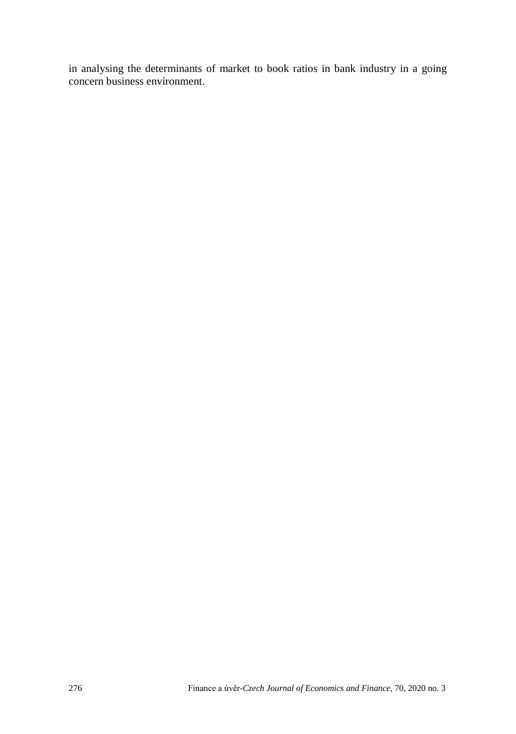in analysing the determinants of market to book ratios in bank industry in a going concern business environment.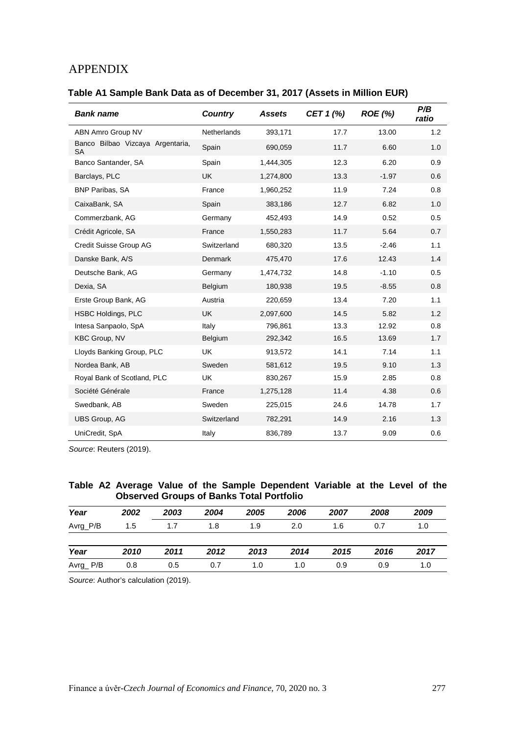## APPENDIX

### **Table A1 Sample Bank Data as of December 31, 2017 (Assets in Million EUR)**

| <b>Bank name</b>                              | Country     | <b>Assets</b> | CET 1 (%) | <b>ROE</b> (%) | P/B<br>ratio |
|-----------------------------------------------|-------------|---------------|-----------|----------------|--------------|
| ABN Amro Group NV                             | Netherlands | 393,171       | 17.7      | 13.00          | 1.2          |
| Banco Bilbao Vizcaya Argentaria,<br><b>SA</b> | Spain       | 690,059       | 11.7      | 6.60           | 1.0          |
| Banco Santander, SA                           | Spain       | 1,444,305     | 12.3      | 6.20           | 0.9          |
| Barclays, PLC                                 | <b>UK</b>   | 1,274,800     | 13.3      | $-1.97$        | 0.6          |
| <b>BNP Paribas, SA</b>                        | France      | 1,960,252     | 11.9      | 7.24           | 0.8          |
| CaixaBank, SA                                 | Spain       | 383,186       | 12.7      | 6.82           | 1.0          |
| Commerzbank, AG                               | Germany     | 452,493       | 14.9      | 0.52           | 0.5          |
| Crédit Agricole, SA                           | France      | 1,550,283     | 11.7      | 5.64           | 0.7          |
| Credit Suisse Group AG                        | Switzerland | 680,320       | 13.5      | $-2.46$        | 1.1          |
| Danske Bank, A/S                              | Denmark     | 475,470       | 17.6      | 12.43          | 1.4          |
| Deutsche Bank, AG                             | Germany     | 1,474,732     | 14.8      | $-1.10$        | 0.5          |
| Dexia, SA                                     | Belgium     | 180,938       | 19.5      | $-8.55$        | 0.8          |
| Erste Group Bank, AG                          | Austria     | 220,659       | 13.4      | 7.20           | 1.1          |
| <b>HSBC Holdings, PLC</b>                     | <b>UK</b>   | 2,097,600     | 14.5      | 5.82           | 1.2          |
| Intesa Sanpaolo, SpA                          | Italy       | 796,861       | 13.3      | 12.92          | 0.8          |
| <b>KBC Group, NV</b>                          | Belgium     | 292,342       | 16.5      | 13.69          | 1.7          |
| Lloyds Banking Group, PLC                     | <b>UK</b>   | 913,572       | 14.1      | 7.14           | 1.1          |
| Nordea Bank, AB                               | Sweden      | 581,612       | 19.5      | 9.10           | 1.3          |
| Royal Bank of Scotland, PLC                   | <b>UK</b>   | 830,267       | 15.9      | 2.85           | 0.8          |
| Société Générale                              | France      | 1,275,128     | 11.4      | 4.38           | 0.6          |
| Swedbank, AB                                  | Sweden      | 225,015       | 24.6      | 14.78          | 1.7          |
| UBS Group, AG                                 | Switzerland | 782,291       | 14.9      | 2.16           | 1.3          |
| UniCredit, SpA                                | Italy       | 836,789       | 13.7      | 9.09           | 0.6          |

*Source*: Reuters (2019).

#### **Table A2 Average Value of the Sample Dependent Variable at the Level of the Observed Groups of Banks Total Portfolio**

| Year     | 2002 | 2003 | 2004 | 2005 | 2006 | 2007 | 2008 | 2009 |
|----------|------|------|------|------|------|------|------|------|
| Avrg_P/B | 1.5  | 1.7  | 1.8  | 1.9  | 2.0  | 1.6  | 0.7  | 1.0  |
|          |      |      |      |      |      |      |      |      |
| Year     | 2010 | 2011 | 2012 | 2013 | 2014 | 2015 | 2016 | 2017 |
| Avrg_P/B | 0.8  | 0.5  | 0.7  | 1.0  | 1.0  | 0.9  | 0.9  | 1.0  |

*Source*: Author's calculation (2019).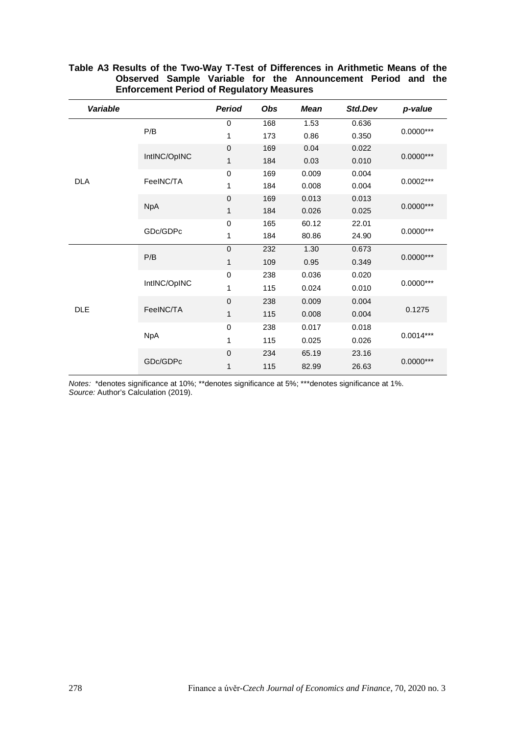| Variable   |              | Period       | Obs | <b>Mean</b> | Std.Dev | p-value     |  |
|------------|--------------|--------------|-----|-------------|---------|-------------|--|
|            |              | $\mathbf 0$  | 168 | 1.53        | 0.636   |             |  |
|            | P/B          | $\mathbf{1}$ | 173 | 0.86        | 0.350   | $0.0000***$ |  |
|            |              | $\mathbf 0$  | 169 | 0.04        | 0.022   |             |  |
|            | IntlNC/OpINC | $\mathbf{1}$ | 184 | 0.03        | 0.010   | $0.0000***$ |  |
|            |              | $\mathbf 0$  | 169 | 0.009       | 0.004   |             |  |
| <b>DLA</b> | FeeINC/TA    | 1            | 184 | 0.008       | 0.004   | $0.0002***$ |  |
|            |              | $\mathbf 0$  | 169 | 0.013       | 0.013   |             |  |
| <b>DLE</b> | <b>NpA</b>   | $\mathbf{1}$ | 184 | 0.026       | 0.025   | $0.0000***$ |  |
|            | GDc/GDPc     | $\mathbf 0$  | 165 | 60.12       | 22.01   |             |  |
|            |              | 1            | 184 | 80.86       | 24.90   | $0.0000***$ |  |
|            | P/B          | $\mathbf 0$  | 232 | 1.30        | 0.673   |             |  |
|            |              | 1            | 109 | 0.95        | 0.349   | $0.0000***$ |  |
|            | IntlNC/OpINC | $\mathbf 0$  | 238 | 0.036       | 0.020   |             |  |
|            |              | 1            | 115 | 0.024       | 0.010   | $0.0000***$ |  |
|            | FeeINC/TA    | $\mathbf 0$  | 238 | 0.009       | 0.004   |             |  |
|            |              | 1            | 115 | 0.008       | 0.004   | 0.1275      |  |
|            |              | $\mathbf 0$  | 238 | 0.017       | 0.018   |             |  |
|            | <b>NpA</b>   | 1            | 115 | 0.025       | 0.026   | $0.0014***$ |  |
|            | GDc/GDPc     | $\mathbf 0$  | 234 | 65.19       | 23.16   |             |  |
|            |              | $\mathbf{1}$ | 115 | 82.99       | 26.63   | $0.0000***$ |  |

#### **Table A3 Results of the Two-Way T-Test of Differences in Arithmetic Means of the Observed Sample Variable for the Announcement Period and the Enforcement Period of Regulatory Measures**

*Notes:* \*denotes significance at 10%; \*\*denotes significance at 5%; \*\*\*denotes significance at 1%. *Source:* Author's Calculation (2019).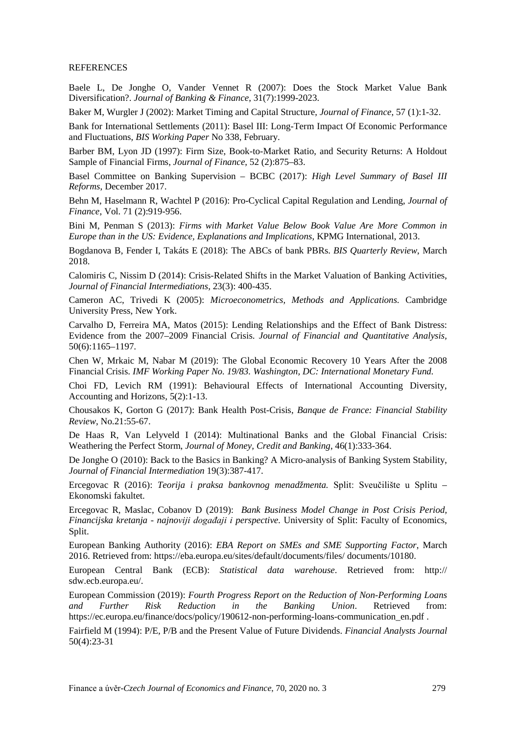#### **REFERENCES**

Baele L, De Jonghe O, Vander Vennet R (2007): Does the Stock Market Value Bank Diversification?. *Journal of Banking & Finance*, 31(7):1999-2023.

Baker M, Wurgler J (2002): Market Timing and Capital Structure, *Journal of Finance*, 57 (1):1-32.

Bank for International Settlements (2011): Basel III: Long-Term Impact Of Economic Performance and Fluctuations, *BIS Working Paper* No 338, February.

Barber BM, Lyon JD (1997): Firm Size, Book-to-Market Ratio, and Security Returns: A Holdout Sample of Financial Firms, *Journal of Finance*, 52 (2):875–83.

Basel Committee on Banking Supervision – BCBC (2017): *High Level Summary of Basel III Reforms*, December 2017.

Behn M, Haselmann R, Wachtel P (2016): Pro-Cyclical Capital Regulation and Lending, *Journal of Finance*, Vol. 71 (2):919-956.

Bini M, Penman S (2013): *Firms with Market Value Below Book Value Are More Common in Europe than in the US: Evidence, Explanations and Implications*, KPMG International, 2013.

Bogdanova B, Fender I, Takáts E (2018): The ABCs of bank PBRs. *BIS Quarterly Review*, March 2018.

Calomiris C, Nissim D (2014): Crisis-Related Shifts in the Market Valuation of Banking Activities, *Journal of Financial Intermediations*, 23(3): 400-435.

Cameron AC, Trivedi K (2005): *Microeconometrics, Methods and Applications.* Cambridge University Press, New York.

Carvalho D, Ferreira MA, Matos (2015): Lending Relationships and the Effect of Bank Distress: Evidence from the 2007–2009 Financial Crisis. *Journal of Financial and Quantitative Analysis,*  50(6):1165–1197*.* 

Chen W, Mrkaic M, Nabar M (2019): The Global Economic Recovery 10 Years After the 2008 Financial Crisis. *IMF Working Paper No. 19/83. Washington, DC: International Monetary Fund.*

Choi FD, Levich RM (1991): Behavioural Effects of International Accounting Diversity, Accounting and Horizons, 5(2):1-13.

Chousakos K, Gorton G (2017): Bank Health Post-Crisis, *Banque de France: Financial Stability Review*, No.21:55-67.

De Haas R, Van Lelyveld I (2014): Multinational Banks and the Global Financial Crisis: Weathering the Perfect Storm, *Journal of Money, Credit and Banking*, 46(1):333-364.

De Jonghe O (2010): Back to the Basics in Banking? A Micro-analysis of Banking System Stability, *Journal of Financial Intermediation* 19(3):387-417.

Ercegovac R (2016): *Teorija i praksa bankovnog menadžmenta.* Split: Sveučilište u Splitu – Ekonomski fakultet.

Ercegovac R, Maslac, Cobanov D (2019): *Bank Business Model Change in Post Crisis Period, Financijska kretanja - najnoviji događaji i perspective.* University of Split: Faculty of Economics, Split.

European Banking Authority (2016): *EBA Report on SMEs and SME Supporting Factor*, March 2016. Retrieved from:<https://eba.europa.eu/sites/default/documents/files/> documents/10180.

European Central Bank (ECB): *Statistical data warehouse*. Retrieved from: http:// sdw.ecb.europa.eu/.

European Commission (2019): *Fourth Progress Report on the Reduction of Non-Performing Loans and Further Risk Reduction in the Banking Union*. Retrieved from: [https://ec.europa.eu/finance/docs/policy/1](https://ec.europa.eu/finance/docs/policy/)90612-non-performing-loans-communication\_en.pdf .

Fairfield M (1994): P/E, P/B and the Present Value of Future Dividends. *Financial Analysts Journal* 50(4):23-31